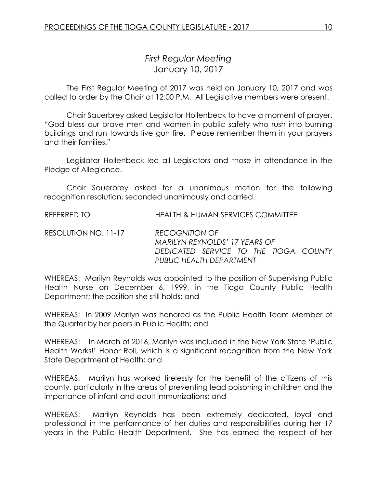# *First Regular Meeting* January 10, 2017

The First Regular Meeting of 2017 was held on January 10, 2017 and was called to order by the Chair at 12:00 P.M. All Legislative members were present.

Chair Sauerbrey asked Legislator Hollenbeck to have a moment of prayer. "God bless our brave men and women in public safety who rush into burning buildings and run towards live gun fire. Please remember them in your prayers and their families."

Legislator Hollenbeck led all Legislators and those in attendance in the Pledge of Allegiance.

Chair Sauerbrey asked for a unanimous motion for the following recognition resolution, seconded unanimously and carried.

REFERRED TO HEALTH & HUMAN SERVICES COMMITTEE

RESOLUTION NO. 11-17 *RECOGNITION OF MARILYN REYNOLDS' 17 YEARS OF DEDICATED SERVICE TO THE TIOGA COUNTY PUBLIC HEALTH DEPARTMENT*

WHEREAS: Marilyn Reynolds was appointed to the position of Supervising Public Health Nurse on December 6, 1999, in the Tioga County Public Health Department; the position she still holds; and

WHEREAS: In 2009 Marilyn was honored as the Public Health Team Member of the Quarter by her peers in Public Health; and

WHEREAS: In March of 2016, Marilyn was included in the New York State 'Public Health Works!' Honor Roll, which is a significant recognition from the New York State Department of Health; and

WHEREAS: Marilyn has worked tirelessly for the benefit of the citizens of this county, particularly in the areas of preventing lead poisoning in children and the importance of infant and adult immunizations; and

WHEREAS: Marilyn Reynolds has been extremely dedicated, loyal and professional in the performance of her duties and responsibilities during her 17 years in the Public Health Department. She has earned the respect of her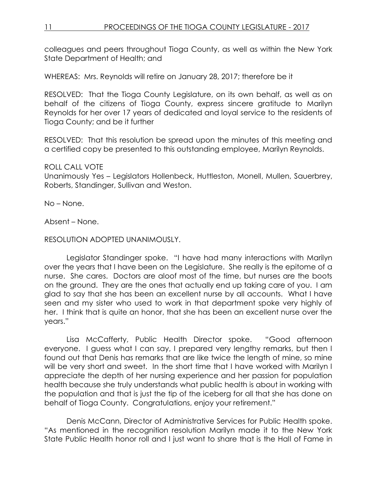colleagues and peers throughout Tioga County, as well as within the New York State Department of Health; and

WHEREAS: Mrs. Reynolds will retire on January 28, 2017; therefore be it

RESOLVED: That the Tioga County Legislature, on its own behalf, as well as on behalf of the citizens of Tioga County, express sincere gratitude to Marilyn Reynolds for her over 17 years of dedicated and loyal service to the residents of Tioga County; and be it further

RESOLVED: That this resolution be spread upon the minutes of this meeting and a certified copy be presented to this outstanding employee, Marilyn Reynolds.

## ROLL CALL VOTE

Unanimously Yes – Legislators Hollenbeck, Huttleston, Monell, Mullen, Sauerbrey, Roberts, Standinger, Sullivan and Weston.

No – None.

Absent – None.

### RESOLUTION ADOPTED UNANIMOUSLY.

Legislator Standinger spoke. "I have had many interactions with Marilyn over the years that I have been on the Legislature. She really is the epitome of a nurse. She cares. Doctors are aloof most of the time, but nurses are the boots on the ground. They are the ones that actually end up taking care of you. I am glad to say that she has been an excellent nurse by all accounts. What I have seen and my sister who used to work in that department spoke very highly of her. I think that is quite an honor, that she has been an excellent nurse over the years."

Lisa McCafferty, Public Health Director spoke. "Good afternoon everyone. I guess what I can say, I prepared very lengthy remarks, but then I found out that Denis has remarks that are like twice the length of mine, so mine will be very short and sweet. In the short time that I have worked with Marilyn I appreciate the depth of her nursing experience and her passion for population health because she truly understands what public health is about in working with the population and that is just the tip of the iceberg for all that she has done on behalf of Tioga County. Congratulations, enjoy your retirement."

Denis McCann, Director of Administrative Services for Public Health spoke. "As mentioned in the recognition resolution Marilyn made it to the New York State Public Health honor roll and I just want to share that is the Hall of Fame in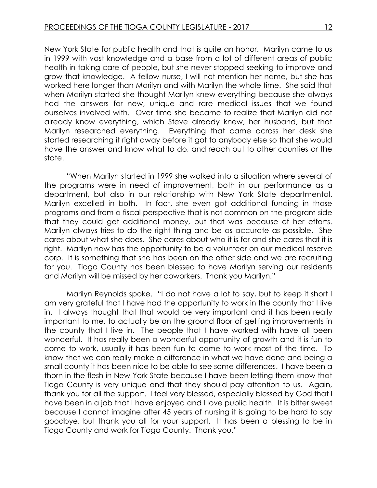New York State for public health and that is quite an honor. Marilyn came to us in 1999 with vast knowledge and a base from a lot of different areas of public health in taking care of people, but she never stopped seeking to improve and grow that knowledge. A fellow nurse, I will not mention her name, but she has worked here longer than Marilyn and with Marilyn the whole time. She said that when Marilyn started she thought Marilyn knew everything because she always had the answers for new, unique and rare medical issues that we found ourselves involved with. Over time she became to realize that Marilyn did not already know everything, which Steve already knew, her husband, but that Marilyn researched everything. Everything that came across her desk she started researching it right away before it got to anybody else so that she would have the answer and know what to do, and reach out to other counties or the state.

"When Marilyn started in 1999 she walked into a situation where several of the programs were in need of improvement, both in our performance as a department, but also in our relationship with New York State departmental. Marilyn excelled in both. In fact, she even got additional funding in those programs and from a fiscal perspective that is not common on the program side that they could get additional money, but that was because of her efforts. Marilyn always tries to do the right thing and be as accurate as possible. She cares about what she does. She cares about who it is for and she cares that it is right. Marilyn now has the opportunity to be a volunteer on our medical reserve corp. It is something that she has been on the other side and we are recruiting for you. Tioga County has been blessed to have Marilyn serving our residents and Marilyn will be missed by her coworkers. Thank you Marilyn."

Marilyn Reynolds spoke. "I do not have a lot to say, but to keep it short I am very grateful that I have had the opportunity to work in the county that I live in. I always thought that that would be very important and it has been really important to me, to actually be on the ground floor of getting improvements in the county that I live in. The people that I have worked with have all been wonderful. It has really been a wonderful opportunity of growth and it is fun to come to work, usually it has been fun to come to work most of the time. To know that we can really make a difference in what we have done and being a small county it has been nice to be able to see some differences. I have been a thorn in the flesh in New York State because I have been letting them know that Tioga County is very unique and that they should pay attention to us. Again, thank you for all the support. I feel very blessed, especially blessed by God that I have been in a job that I have enjoyed and I love public health. It is bitter sweet because I cannot imagine after 45 years of nursing it is going to be hard to say goodbye, but thank you all for your support. It has been a blessing to be in Tioga County and work for Tioga County. Thank you."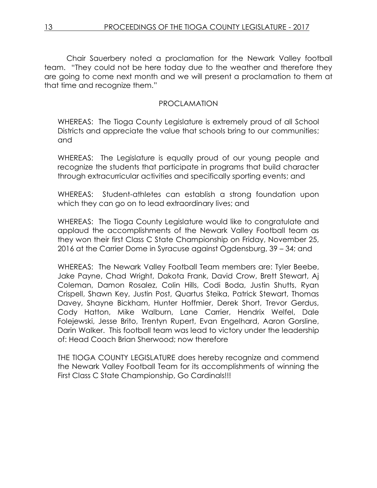Chair Sauerbery noted a proclamation for the Newark Valley football team. "They could not be here today due to the weather and therefore they are going to come next month and we will present a proclamation to them at that time and recognize them."

### PROCLAMATION

WHEREAS: The Tioga County Legislature is extremely proud of all School Districts and appreciate the value that schools bring to our communities; and

WHEREAS: The Legislature is equally proud of our young people and recognize the students that participate in programs that build character through extracurricular activities and specifically sporting events; and

WHEREAS: Student-athletes can establish a strong foundation upon which they can go on to lead extraordinary lives; and

WHEREAS: The Tioga County Legislature would like to congratulate and applaud the accomplishments of the Newark Valley Football team as they won their first Class C State Championship on Friday, November 25, 2016 at the Carrier Dome in Syracuse against Ogdensburg, 39 – 34; and

WHEREAS: The Newark Valley Football Team members are: Tyler Beebe, Jake Payne, Chad Wright, Dakota Frank, David Crow, Brett Stewart, Aj Coleman, Damon Rosalez, Colin Hills, Codi Boda, Justin Shutts, Ryan Crispell, Shawn Key, Justin Post, Quartus Steika, Patrick Stewart, Thomas Davey, Shayne Bickham, Hunter Hoffmier, Derek Short, Trevor Gerdus, Cody Hatton, Mike Walburn, Lane Carrier, Hendrix Welfel, Dale Folejewski, Jesse Brito, Trentyn Rupert, Evan Engelhard, Aaron Gorsline, Darin Walker. This football team was lead to victory under the leadership of: Head Coach Brian Sherwood; now therefore

THE TIOGA COUNTY LEGISLATURE does hereby recognize and commend the Newark Valley Football Team for its accomplishments of winning the First Class C State Championship, Go Cardinals!!!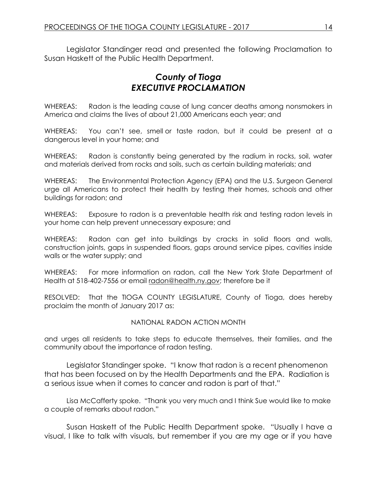Legislator Standinger read and presented the following Proclamation to Susan Haskett of the Public Health Department.

# *County of Tioga EXECUTIVE PROCLAMATION*

WHEREAS: Radon is the leading cause of lung cancer deaths among nonsmokers in America and claims the lives of about 21,000 Americans each year; and

WHEREAS: You can't see, smell or taste radon, but it could be present at a dangerous level in your home; and

WHEREAS: Radon is constantly being generated by the radium in rocks, soil, water and materials derived from rocks and soils, such as certain building materials; and

WHEREAS: The Environmental Protection Agency (EPA) and the U.S. Surgeon General urge all Americans to protect their health by testing their homes, schools and other buildings for radon; and

WHEREAS: Exposure to radon is a preventable health risk and testing radon levels in your home can help prevent unnecessary exposure; and

WHEREAS: Radon can get into buildings by cracks in solid floors and walls, construction joints, gaps in suspended floors, gaps around service pipes, cavities inside walls or the water supply; and

WHEREAS: For more information on radon, call the New York State Department of Health at 518-402-7556 or email [radon@health.ny.gov;](mailto:radon@health.ny.gov) therefore be it

RESOLVED: That the TIOGA COUNTY LEGISLATURE, County of Tioga, does hereby proclaim the month of January 2017 as:

#### NATIONAL RADON ACTION MONTH

and urges all residents to take steps to educate themselves, their families, and the community about the importance of radon testing.

Legislator Standinger spoke. "I know that radon is a recent phenomenon that has been focused on by the Health Departments and the EPA. Radiation is a serious issue when it comes to cancer and radon is part of that."

Lisa McCafferty spoke. "Thank you very much and I think Sue would like to make a couple of remarks about radon."

Susan Haskett of the Public Health Department spoke. "Usually I have a visual, I like to talk with visuals, but remember if you are my age or if you have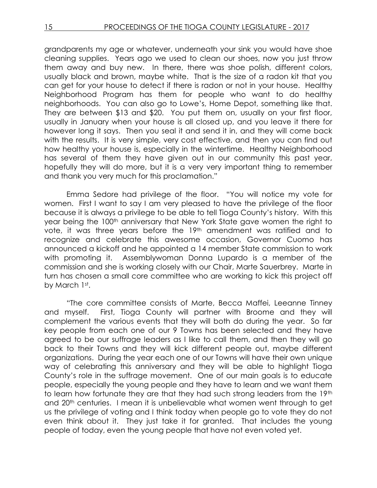grandparents my age or whatever, underneath your sink you would have shoe cleaning supplies. Years ago we used to clean our shoes, now you just throw them away and buy new. In there, there was shoe polish, different colors, usually black and brown, maybe white. That is the size of a radon kit that you can get for your house to detect if there is radon or not in your house. Healthy Neighborhood Program has them for people who want to do healthy neighborhoods. You can also go to Lowe's, Home Depot, something like that. They are between \$13 and \$20. You put them on, usually on your first floor, usually in January when your house is all closed up, and you leave it there for however long it says. Then you seal it and send it in, and they will come back with the results. It is very simple, very cost effective, and then you can find out how healthy your house is, especially in the wintertime. Healthy Neighborhood has several of them they have given out in our community this past year, hopefully they will do more, but it is a very very important thing to remember and thank you very much for this proclamation."

Emma Sedore had privilege of the floor. "You will notice my vote for women. First I want to say I am very pleased to have the privilege of the floor because it is always a privilege to be able to tell Tioga County's history. With this year being the 100<sup>th</sup> anniversary that New York State gave women the right to vote, it was three years before the 19<sup>th</sup> amendment was ratified and to recognize and celebrate this awesome occasion, Governor Cuomo has announced a kickoff and he appointed a 14 member State commission to work with promoting it. Assemblywoman Donna Lupardo is a member of the commission and she is working closely with our Chair, Marte Sauerbrey. Marte in turn has chosen a small core committee who are working to kick this project off by March 1st.

"The core committee consists of Marte, Becca Maffei, Leeanne Tinney and myself. First, Tioga County will partner with Broome and they will complement the various events that they will both do during the year. So far key people from each one of our 9 Towns has been selected and they have agreed to be our suffrage leaders as I like to call them, and then they will go back to their Towns and they will kick different people out, maybe different organizations. During the year each one of our Towns will have their own unique way of celebrating this anniversary and they will be able to highlight Tioga County's role in the suffrage movement. One of our main goals is to educate people, especially the young people and they have to learn and we want them to learn how fortunate they are that they had such strong leaders from the 19th and 20<sup>th</sup> centuries. I mean it is unbelievable what women went through to get us the privilege of voting and I think today when people go to vote they do not even think about it. They just take it for granted. That includes the young people of today, even the young people that have not even voted yet.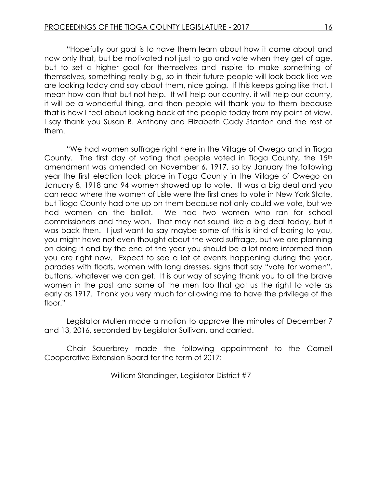"Hopefully our goal is to have them learn about how it came about and now only that, but be motivated not just to go and vote when they get of age, but to set a higher goal for themselves and inspire to make something of themselves, something really big, so in their future people will look back like we are looking today and say about them, nice going. If this keeps going like that, I mean how can that but not help. It will help our country, it will help our county, it will be a wonderful thing, and then people will thank you to them because that is how I feel about looking back at the people today from my point of view. I say thank you Susan B. Anthony and Elizabeth Cady Stanton and the rest of them.

"We had women suffrage right here in the Village of Owego and in Tioga County. The first day of voting that people voted in Tioga County, the 15<sup>th</sup> amendment was amended on November 6, 1917, so by January the following year the first election took place in Tioga County in the Village of Owego on January 8, 1918 and 94 women showed up to vote. It was a big deal and you can read where the women of Lisle were the first ones to vote in New York State, but Tioga County had one up on them because not only could we vote, but we had women on the ballot. We had two women who ran for school commissioners and they won. That may not sound like a big deal today, but it was back then. I just want to say maybe some of this is kind of boring to you, you might have not even thought about the word suffrage, but we are planning on doing it and by the end of the year you should be a lot more informed than you are right now. Expect to see a lot of events happening during the year, parades with floats, women with long dresses, signs that say "vote for women", buttons, whatever we can get. It is our way of saying thank you to all the brave women in the past and some of the men too that got us the right to vote as early as 1917. Thank you very much for allowing me to have the privilege of the floor."

Legislator Mullen made a motion to approve the minutes of December 7 and 13, 2016, seconded by Legislator Sullivan, and carried.

Chair Sauerbrey made the following appointment to the Cornell Cooperative Extension Board for the term of 2017:

William Standinger, Legislator District #7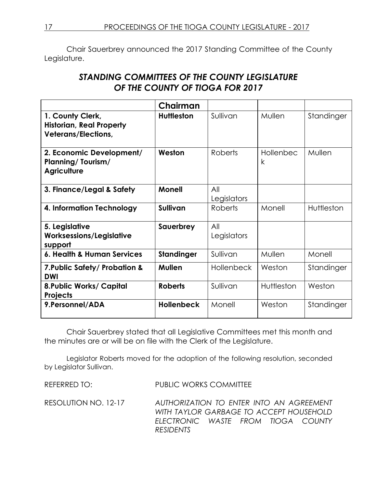Chair Sauerbrey announced the 2017 Standing Committee of the County Legislature.

# *STANDING COMMITTEES OF THE COUNTY LEGISLATURE OF THE COUNTY OF TIOGA FOR 2017*

|                                                                                   | Chairman          |                    |                           |            |
|-----------------------------------------------------------------------------------|-------------------|--------------------|---------------------------|------------|
| 1. County Clerk,<br><b>Historian, Real Property</b><br><b>Veterans/Elections,</b> | <b>Huttleston</b> | Sullivan           | Mullen                    | Standinger |
| 2. Economic Development/<br><b>Planning/Tourism/</b><br><b>Agriculture</b>        | Weston            | Roberts            | Hollenbec<br>$\mathsf{k}$ | Mullen     |
| 3. Finance/Legal & Safety                                                         | <b>Monell</b>     | All<br>Legislators |                           |            |
| 4. Information Technology                                                         | <b>Sullivan</b>   | <b>Roberts</b>     | Monell                    | Huttleston |
| 5. Legislative<br><b>Worksessions/Legislative</b><br>support                      | Sauerbrey         | All<br>Legislators |                           |            |
| 6. Health & Human Services                                                        | <b>Standinger</b> | Sullivan           | Mullen                    | Monell     |
| 7. Public Safety/ Probation &<br><b>DWI</b>                                       | <b>Mullen</b>     | <b>Hollenbeck</b>  | Weston                    | Standinger |
| <b>8. Public Works/ Capital</b><br>Projects                                       | <b>Roberts</b>    | Sullivan           | Huttleston                | Weston     |
| 9. Personnel/ADA                                                                  | <b>Hollenbeck</b> | Monell             | Weston                    | Standinger |

Chair Sauerbrey stated that all Legislative Committees met this month and the minutes are or will be on file with the Clerk of the Legislature.

Legislator Roberts moved for the adoption of the following resolution, seconded by Legislator Sullivan.

REFERRED TO: PUBLIC WORKS COMMITTEE

RESOLUTION NO. 12-17 *AUTHORIZATION TO ENTER INTO AN AGREEMENT WITH TAYLOR GARBAGE TO ACCEPT HOUSEHOLD ELECTRONIC WASTE FROM TIOGA COUNTY RESIDENTS*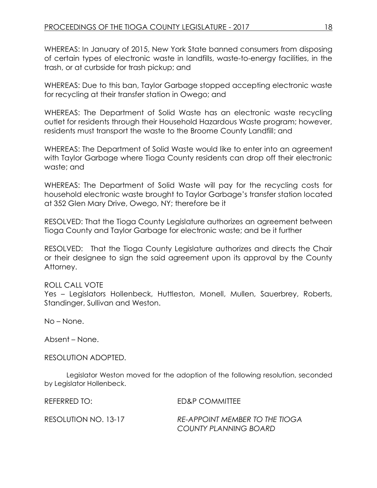WHEREAS: In January of 2015, New York State banned consumers from disposing of certain types of electronic waste in landfills, waste-to-energy facilities, in the trash, or at curbside for trash pickup; and

WHEREAS: Due to this ban, Taylor Garbage stopped accepting electronic waste for recycling at their transfer station in Owego; and

WHEREAS: The Department of Solid Waste has an electronic waste recycling outlet for residents through their Household Hazardous Waste program; however, residents must transport the waste to the Broome County Landfill; and

WHEREAS: The Department of Solid Waste would like to enter into an agreement with Taylor Garbage where Tioga County residents can drop off their electronic waste; and

WHEREAS: The Department of Solid Waste will pay for the recycling costs for household electronic waste brought to Taylor Garbage's transfer station located at 352 Glen Mary Drive, Owego, NY; therefore be it

RESOLVED: That the Tioga County Legislature authorizes an agreement between Tioga County and Taylor Garbage for electronic waste; and be it further

RESOLVED: That the Tioga County Legislature authorizes and directs the Chair or their designee to sign the said agreement upon its approval by the County Attorney.

## ROLL CALL VOTE

Yes – Legislators Hollenbeck, Huttleston, Monell, Mullen, Sauerbrey, Roberts, Standinger, Sullivan and Weston.

No – None.

Absent – None.

RESOLUTION ADOPTED.

Legislator Weston moved for the adoption of the following resolution, seconded by Legislator Hollenbeck.

REFERRED TO: ED&P COMMITTEE

RESOLUTION NO. 13-17 *RE-APPOINT MEMBER TO THE TIOGA COUNTY PLANNING BOARD*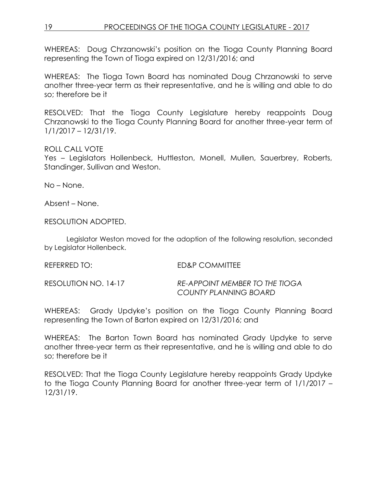# 19 PROCEEDINGS OF THE TIOGA COUNTY LEGISLATURE - 2017

WHEREAS: Doug Chrzanowski's position on the Tioga County Planning Board representing the Town of Tioga expired on 12/31/2016; and

WHEREAS: The Tioga Town Board has nominated Doug Chrzanowski to serve another three-year term as their representative, and he is willing and able to do so; therefore be it

RESOLVED: That the Tioga County Legislature hereby reappoints Doug Chrzanowski to the Tioga County Planning Board for another three-year term of 1/1/2017 – 12/31/19.

### ROLL CALL VOTE

Yes – Legislators Hollenbeck, Huttleston, Monell, Mullen, Sauerbrey, Roberts, Standinger, Sullivan and Weston.

No – None.

Absent – None.

RESOLUTION ADOPTED.

Legislator Weston moved for the adoption of the following resolution, seconded by Legislator Hollenbeck.

REFERRED TO: ED&P COMMITTEE

RESOLUTION NO. 14-17 *RE-APPOINT MEMBER TO THE TIOGA COUNTY PLANNING BOARD*

WHEREAS: Grady Updyke's position on the Tioga County Planning Board representing the Town of Barton expired on 12/31/2016; and

WHEREAS: The Barton Town Board has nominated Grady Updyke to serve another three-year term as their representative, and he is willing and able to do so; therefore be it

RESOLVED: That the Tioga County Legislature hereby reappoints Grady Updyke to the Tioga County Planning Board for another three-year term of 1/1/2017 – 12/31/19.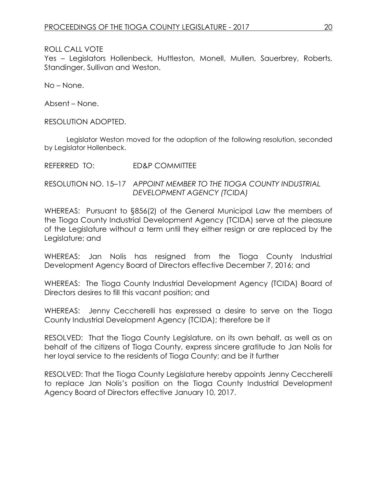Yes – Legislators Hollenbeck, Huttleston, Monell, Mullen, Sauerbrey, Roberts, Standinger, Sullivan and Weston.

No – None.

Absent – None.

RESOLUTION ADOPTED.

Legislator Weston moved for the adoption of the following resolution, seconded by Legislator Hollenbeck.

REFERRED TO: ED&P COMMITTEE

RESOLUTION NO. 15–17 *APPOINT MEMBER TO THE TIOGA COUNTY INDUSTRIAL DEVELOPMENT AGENCY (TCIDA)*

WHEREAS: Pursuant to §856(2) of the General Municipal Law the members of the Tioga County Industrial Development Agency (TCIDA) serve at the pleasure of the Legislature without a term until they either resign or are replaced by the Legislature; and

WHEREAS: Jan Nolis has resigned from the Tioga County Industrial Development Agency Board of Directors effective December 7, 2016; and

WHEREAS: The Tioga County Industrial Development Agency (TCIDA) Board of Directors desires to fill this vacant position; and

WHEREAS: Jenny Ceccherelli has expressed a desire to serve on the Tioga County Industrial Development Agency (TCIDA); therefore be it

RESOLVED: That the Tioga County Legislature, on its own behalf, as well as on behalf of the citizens of Tioga County, express sincere gratitude to Jan Nolis for her loyal service to the residents of Tioga County; and be it further

RESOLVED: That the Tioga County Legislature hereby appoints Jenny Ceccherelli to replace Jan Nolis's position on the Tioga County Industrial Development Agency Board of Directors effective January 10, 2017.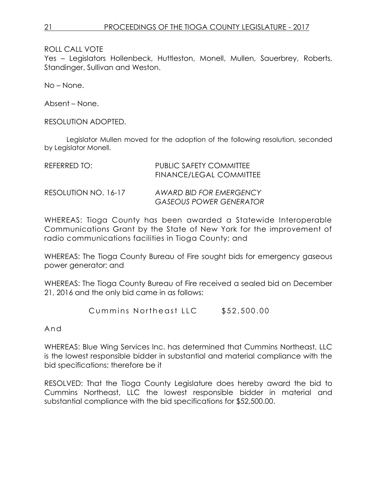Yes – Legislators Hollenbeck, Huttleston, Monell, Mullen, Sauerbrey, Roberts, Standinger, Sullivan and Weston.

No – None.

Absent – None.

RESOLUTION ADOPTED.

Legislator Mullen moved for the adoption of the following resolution, seconded by Legislator Monell.

| REFERRED TO:         | <b>PUBLIC SAFETY COMMITTEE</b><br><b>FINANCE/LEGAL COMMITTEE</b> |
|----------------------|------------------------------------------------------------------|
| RESOLUTION NO. 16-17 | AWARD BID FOR EMERGENCY<br><b>GASEOUS POWER GENERATOR</b>        |

WHEREAS: Tioga County has been awarded a Statewide Interoperable Communications Grant by the State of New York for the improvement of radio communications facilities in Tioga County; and

WHEREAS: The Tioga County Bureau of Fire sought bids for emergency gaseous power generator; and

WHEREAS: The Tioga County Bureau of Fire received a sealed bid on December 21, 2016 and the only bid came in as follows:

Cummins Northeast LLC \$52,500.00

And

WHEREAS: Blue Wing Services Inc. has determined that Cummins Northeast, LLC is the lowest responsible bidder in substantial and material compliance with the bid specifications; therefore be it

RESOLVED: That the Tioga County Legislature does hereby award the bid to Cummins Northeast, LLC the lowest responsible bidder in material and substantial compliance with the bid specifications for \$52,500.00.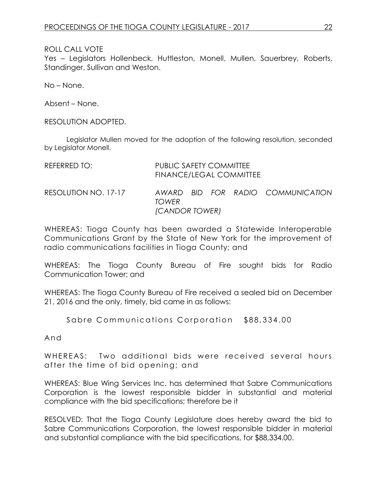Yes – Legislators Hollenbeck, Huttleston, Monell, Mullen, Sauerbrey, Roberts, Standinger, Sullivan and Weston.

No – None.

Absent – None.

RESOLUTION ADOPTED.

Legislator Mullen moved for the adoption of the following resolution, seconded by Legislator Monell.

| REFERRED TO:         | PUBLIC SAFETY COMMITTEE<br><b>FINANCE/LEGAL COMMITTEE</b> |  |  |  |                                   |
|----------------------|-----------------------------------------------------------|--|--|--|-----------------------------------|
| RESOLUTION NO. 17-17 | <b>TOWFR</b><br>(CANDOR TOWER)                            |  |  |  | AWARD BID FOR RADIO COMMUNICATION |

WHEREAS: Tioga County has been awarded a Statewide Interoperable Communications Grant by the State of New York for the improvement of radio communications facilities in Tioga County; and

WHEREAS: The Tioga County Bureau of Fire sought bids for Radio Communication Tower; and

WHEREAS: The Tioga County Bureau of Fire received a sealed bid on December 21, 2016 and the only, timely, bid came in as follows:

Sabre Communications Corporation \$88,334.00

And

WHEREAS: Two additional bids were received several hours after the tim e of bid opening; and

WHEREAS: Blue Wing Services Inc. has determined that Sabre Communications Corporation is the lowest responsible bidder in substantial and material compliance with the bid specifications; therefore be it

RESOLVED: That the Tioga County Legislature does hereby award the bid to Sabre Communications Corporation, the lowest responsible bidder in material and substantial compliance with the bid specifications, for \$88,334.00.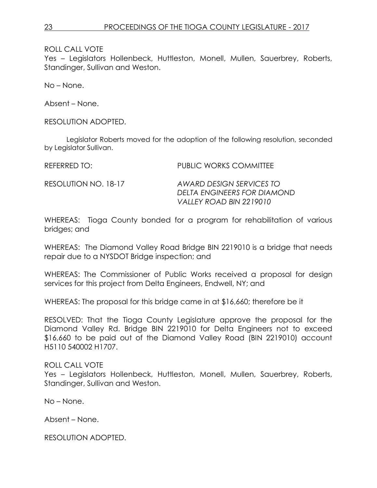Yes – Legislators Hollenbeck, Huttleston, Monell, Mullen, Sauerbrey, Roberts, Standinger, Sullivan and Weston.

No – None.

Absent – None.

RESOLUTION ADOPTED.

Legislator Roberts moved for the adoption of the following resolution, seconded by Legislator Sullivan.

REFERRED TO: THE REFERRED TO: THE PUBLIC WORKS COMMITTEE

RESOLUTION NO. 18-17 *AWARD DESIGN SERVICES TO DELTA ENGINEERS FOR DIAMOND VALLEY ROAD BIN 2219010*

WHEREAS: Tioga County bonded for a program for rehabilitation of various bridges; and

WHEREAS: The Diamond Valley Road Bridge BIN 2219010 is a bridge that needs repair due to a NYSDOT Bridge inspection; and

WHEREAS: The Commissioner of Public Works received a proposal for design services for this project from Delta Engineers, Endwell, NY; and

WHEREAS: The proposal for this bridge came in at \$16,660; therefore be it

RESOLVED: That the Tioga County Legislature approve the proposal for the Diamond Valley Rd. Bridge BIN 2219010 for Delta Engineers not to exceed \$16,660 to be paid out of the Diamond Valley Road (BIN 2219010) account H5110 540002 H1707.

## ROLL CALL VOTE

Yes – Legislators Hollenbeck, Huttleston, Monell, Mullen, Sauerbrey, Roberts, Standinger, Sullivan and Weston.

No – None.

Absent – None.

RESOLUTION ADOPTED.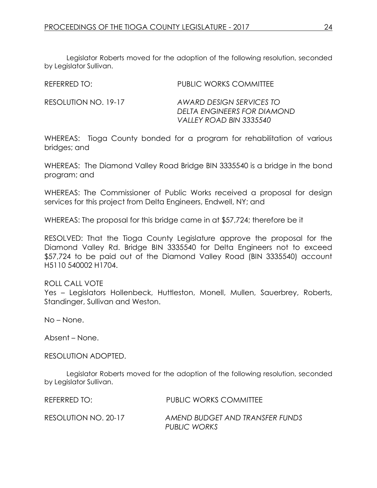Legislator Roberts moved for the adoption of the following resolution, seconded by Legislator Sullivan.

REFERRED TO: **PUBLIC WORKS COMMITTEE** 

RESOLUTION NO. 19-17 *AWARD DESIGN SERVICES TO DELTA ENGINEERS FOR DIAMOND VALLEY ROAD BIN 3335540*

WHEREAS: Tioga County bonded for a program for rehabilitation of various bridges; and

WHEREAS: The Diamond Valley Road Bridge BIN 3335540 is a bridge in the bond program; and

WHEREAS: The Commissioner of Public Works received a proposal for design services for this project from Delta Engineers, Endwell, NY; and

WHEREAS: The proposal for this bridge came in at \$57,724; therefore be it

RESOLVED: That the Tioga County Legislature approve the proposal for the Diamond Valley Rd. Bridge BIN 3335540 for Delta Engineers not to exceed \$57,724 to be paid out of the Diamond Valley Road (BIN 3335540) account H5110 540002 H1704.

#### ROLL CALL VOTE

Yes – Legislators Hollenbeck, Huttleston, Monell, Mullen, Sauerbrey, Roberts, Standinger, Sullivan and Weston.

No – None.

Absent – None.

RESOLUTION ADOPTED.

Legislator Roberts moved for the adoption of the following resolution, seconded by Legislator Sullivan.

REFERRED TO: PUBLIC WORKS COMMITTEE

RESOLUTION NO. 20-17 *AMEND BUDGET AND TRANSFER FUNDS PUBLIC WORKS*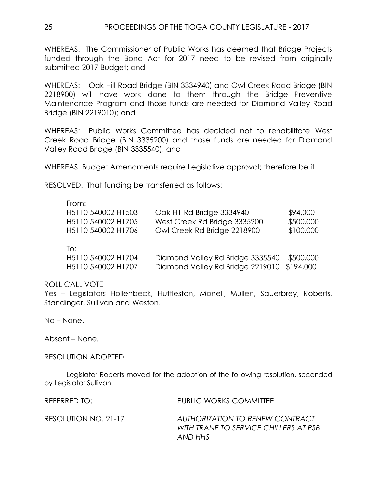WHEREAS: The Commissioner of Public Works has deemed that Bridge Projects funded through the Bond Act for 2017 need to be revised from originally submitted 2017 Budget; and

WHEREAS: Oak Hill Road Bridge (BIN 3334940) and Owl Creek Road Bridge (BIN 2218900) will have work done to them through the Bridge Preventive Maintenance Program and those funds are needed for Diamond Valley Road Bridge (BIN 2219010); and

WHEREAS: Public Works Committee has decided not to rehabilitate West Creek Road Bridge (BIN 3335200) and those funds are needed for Diamond Valley Road Bridge (BIN 3335540); and

WHEREAS: Budget Amendments require Legislative approval; therefore be it

RESOLVED: That funding be transferred as follows:

#### From:

| H5110 540002 H1503        | Oak Hill Rd Bridge 3334940       | \$94,000  |
|---------------------------|----------------------------------|-----------|
| H5110 540002 H1705        | West Creek Rd Bridge 3335200     | \$500,000 |
| H5110 540002 H1706        | Owl Creek Rd Bridge 2218900      | \$100,000 |
| To:<br>H5110 540002 H1704 | Diamond Valley Rd Bridge 3335540 | \$500,000 |

H5110 540002 H1707 Diamond Valley Rd Bridge 2219010 \$194,000

#### ROLL CALL VOTE

Yes – Legislators Hollenbeck, Huttleston, Monell, Mullen, Sauerbrey, Roberts, Standinger, Sullivan and Weston.

No – None.

Absent – None.

RESOLUTION ADOPTED.

Legislator Roberts moved for the adoption of the following resolution, seconded by Legislator Sullivan.

REFERRED TO: PUBLIC WORKS COMMITTEE

RESOLUTION NO. 21-17 *AUTHORIZATION TO RENEW CONTRACT WITH TRANE TO SERVICE CHILLERS AT PSB AND HHS*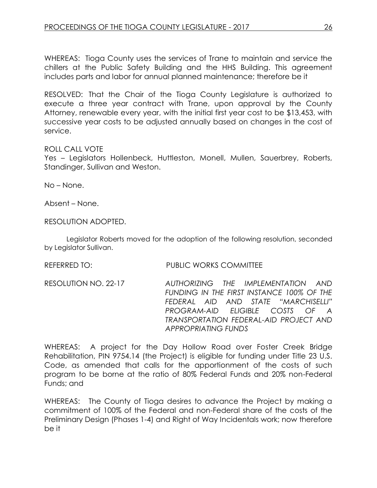WHEREAS: Tioga County uses the services of Trane to maintain and service the chillers at the Public Safety Building and the HHS Building. This agreement includes parts and labor for annual planned maintenance; therefore be it

RESOLVED: That the Chair of the Tioga County Legislature is authorized to execute a three year contract with Trane, upon approval by the County Attorney, renewable every year, with the initial first year cost to be \$13,453, with successive year costs to be adjusted annually based on changes in the cost of service.

### ROLL CALL VOTE

Yes – Legislators Hollenbeck, Huttleston, Monell, Mullen, Sauerbrey, Roberts, Standinger, Sullivan and Weston.

No – None.

Absent – None.

### RESOLUTION ADOPTED.

Legislator Roberts moved for the adoption of the following resolution, seconded by Legislator Sullivan.

REFERRED TO: PUBLIC WORKS COMMITTEE

RESOLUTION NO. 22-17 *AUTHORIZING THE IMPLEMENTATION AND FUNDING IN THE FIRST INSTANCE 100% OF THE FEDERAL AID AND STATE "MARCHISELLI"*  **PROGRAM-AID FLIGIBLE COSTS OF** *TRANSPORTATION FEDERAL-AID PROJECT AND APPROPRIATING FUNDS*

WHEREAS: A project for the Day Hollow Road over Foster Creek Bridge Rehabilitation, PIN 9754.14 (the Project) is eligible for funding under Title 23 U.S. Code, as amended that calls for the apportionment of the costs of such program to be borne at the ratio of 80% Federal Funds and 20% non-Federal Funds; and

WHEREAS: The County of Tioga desires to advance the Project by making a commitment of 100% of the Federal and non-Federal share of the costs of the Preliminary Design (Phases 1-4) and Right of Way Incidentals work; now therefore be it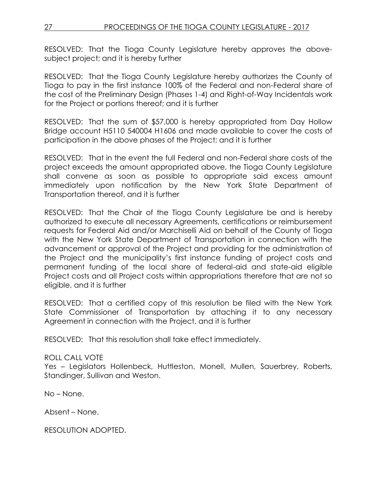RESOLVED: That the Tioga County Legislature hereby approves the abovesubject project; and it is hereby further

RESOLVED: That the Tioga County Legislature hereby authorizes the County of Tioga to pay in the first instance 100% of the Federal and non-Federal share of the cost of the Preliminary Design (Phases 1-4) and Right-of-Way Incidentals work for the Project or portions thereof; and it is further

RESOLVED: That the sum of \$57,000 is hereby appropriated from Day Hollow Bridge account H5110 540004 H1606 and made available to cover the costs of participation in the above phases of the Project; and it is further

RESOLVED: That in the event the full Federal and non-Federal share costs of the project exceeds the amount appropriated above, the Tioga County Legislature shall convene as soon as possible to appropriate said excess amount immediately upon notification by the New York State Department of Transportation thereof, and it is further

RESOLVED: That the Chair of the Tioga County Legislature be and is hereby authorized to execute all necessary Agreements, certifications or reimbursement requests for Federal Aid and/or Marchiselli Aid on behalf of the County of Tioga with the New York State Department of Transportation in connection with the advancement or approval of the Project and providing for the administration of the Project and the municipality's first instance funding of project costs and permanent funding of the local share of federal-aid and state-aid eligible Project costs and all Project costs within appropriations therefore that are not so eligible, and it is further

RESOLVED: That a certified copy of this resolution be filed with the New York State Commissioner of Transportation by attaching it to any necessary Agreement in connection with the Project, and it is further

RESOLVED: That this resolution shall take effect immediately.

# ROLL CALL VOTE

Yes – Legislators Hollenbeck, Huttleston, Monell, Mullen, Sauerbrey, Roberts, Standinger, Sullivan and Weston.

No – None.

Absent – None.

RESOLUTION ADOPTED.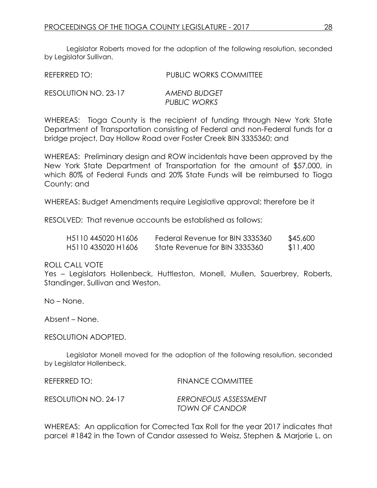Legislator Roberts moved for the adoption of the following resolution, seconded by Legislator Sullivan.

| REFERRED TO:         | <b>PUBLIC WORKS COMMITTEE</b> |
|----------------------|-------------------------------|
| RESOLUTION NO. 23-17 | AMEND BUDGET<br>PUBLIC WORKS  |

WHEREAS: Tioga County is the recipient of funding through New York State Department of Transportation consisting of Federal and non-Federal funds for a bridge project, Day Hollow Road over Foster Creek BIN 3335360; and

WHEREAS: Preliminary design and ROW incidentals have been approved by the New York State Department of Transportation for the amount of \$57,000, in which 80% of Federal Funds and 20% State Funds will be reimbursed to Tioga County; and

WHEREAS: Budget Amendments require Legislative approval; therefore be it

RESOLVED: That revenue accounts be established as follows:

| H <sub>5</sub> 110 445020 H <sub>1606</sub> | Federal Revenue for BIN 3335360 | \$45,600 |
|---------------------------------------------|---------------------------------|----------|
| H <sub>5</sub> 110 435020 H <sub>1606</sub> | State Revenue for BIN 3335360   | \$11,400 |

ROLL CALL VOTE

Yes – Legislators Hollenbeck, Huttleston, Monell, Mullen, Sauerbrey, Roberts, Standinger, Sullivan and Weston.

No – None.

Absent – None.

RESOLUTION ADOPTED.

Legislator Monell moved for the adoption of the following resolution, seconded by Legislator Hollenbeck.

| REFERRED TO:         | <b>FINANCE COMMITTEE</b>               |
|----------------------|----------------------------------------|
| RESOLUTION NO. 24-17 | ERRONEOUS ASSESSMENT<br>TOWN OF CANDOR |

WHEREAS: An application for Corrected Tax Roll for the year 2017 indicates that parcel #1842 in the Town of Candor assessed to Weisz, Stephen & Marjorie L. on